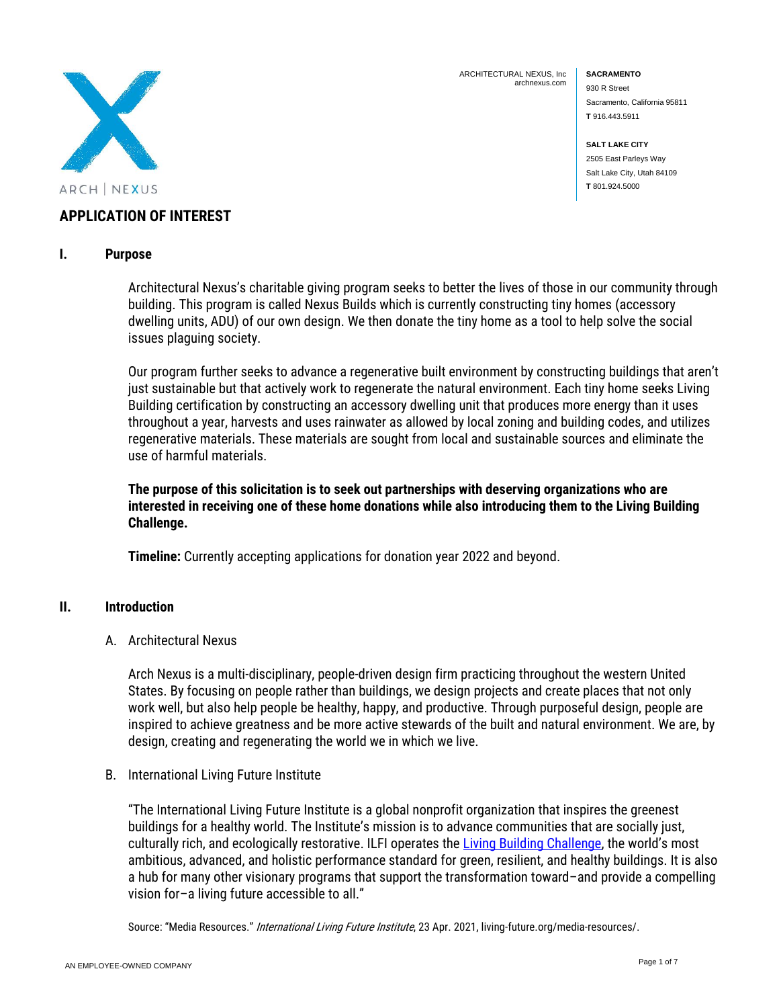

ARCHITECTURAL NEXUS, Inc archnexus.com **SACRAMENTO** 930 R Street Sacramento, California 95811 **T** 916.443.5911

**SALT LAKE CITY** 2505 East Parleys Way Salt Lake City, Utah 84109 **T** 801.924.5000

## **APPLICATION OF INTEREST**

#### **I. Purpose**

Architectural Nexus's charitable giving program seeks to better the lives of those in our community through building. This program is called Nexus Builds which is currently constructing tiny homes (accessory dwelling units, ADU) of our own design. We then donate the tiny home as a tool to help solve the social issues plaguing society.

Our program further seeks to advance a regenerative built environment by constructing buildings that aren't just sustainable but that actively work to regenerate the natural environment. Each tiny home seeks Living Building certification by constructing an accessory dwelling unit that produces more energy than it uses throughout a year, harvests and uses rainwater as allowed by local zoning and building codes, and utilizes regenerative materials. These materials are sought from local and sustainable sources and eliminate the use of harmful materials.

**The purpose of this solicitation is to seek out partnerships with deserving organizations who are interested in receiving one of these home donations while also introducing them to the Living Building Challenge.**

**Timeline:** Currently accepting applications for donation year 2022 and beyond.

#### **II. Introduction**

A. Architectural Nexus

Arch Nexus is a multi-disciplinary, people-driven design firm practicing throughout the western United States. By focusing on people rather than buildings, we design projects and create places that not only work well, but also help people be healthy, happy, and productive. Through purposeful design, people are inspired to achieve greatness and be more active stewards of the built and natural environment. We are, by design, creating and regenerating the world we in which we live.

B. International Living Future Institute

"The International Living Future Institute is a global nonprofit organization that inspires the greenest buildings for a healthy world. The Institute's mission is to advance communities that are socially just, culturally rich, and ecologically restorative. ILFI operates the [Living Building Challenge](https://living-future.org/lbc), the world's most ambitious, advanced, and holistic performance standard for green, resilient, and healthy buildings. It is also a hub for many other visionary programs that support the transformation toward–and provide a compelling vision for–a living future accessible to all."

Source: "Media Resources." International Living Future Institute, 23 Apr. 2021, living-future.org/media-resources/.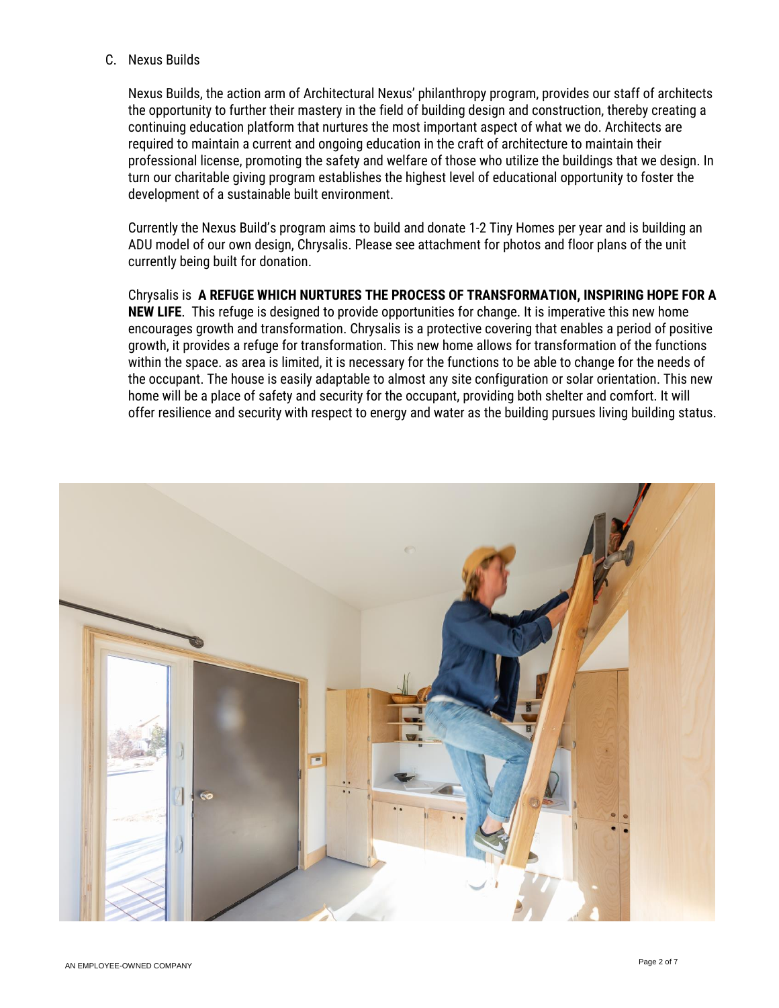#### C. Nexus Builds

Nexus Builds, the action arm of Architectural Nexus' philanthropy program, provides our staff of architects the opportunity to further their mastery in the field of building design and construction, thereby creating a continuing education platform that nurtures the most important aspect of what we do. Architects are required to maintain a current and ongoing education in the craft of architecture to maintain their professional license, promoting the safety and welfare of those who utilize the buildings that we design. In turn our charitable giving program establishes the highest level of educational opportunity to foster the development of a sustainable built environment.

Currently the Nexus Build's program aims to build and donate 1-2 Tiny Homes per year and is building an ADU model of our own design, Chrysalis. Please see attachment for photos and floor plans of the unit currently being built for donation.

Chrysalis is **A REFUGE WHICH NURTURES THE PROCESS OF TRANSFORMATION, INSPIRING HOPE FOR A NEW LIFE**. This refuge is designed to provide opportunities for change. It is imperative this new home encourages growth and transformation. Chrysalis is a protective covering that enables a period of positive growth, it provides a refuge for transformation. This new home allows for transformation of the functions within the space. as area is limited, it is necessary for the functions to be able to change for the needs of the occupant. The house is easily adaptable to almost any site configuration or solar orientation. This new home will be a place of safety and security for the occupant, providing both shelter and comfort. It will offer resilience and security with respect to energy and water as the building pursues living building status.

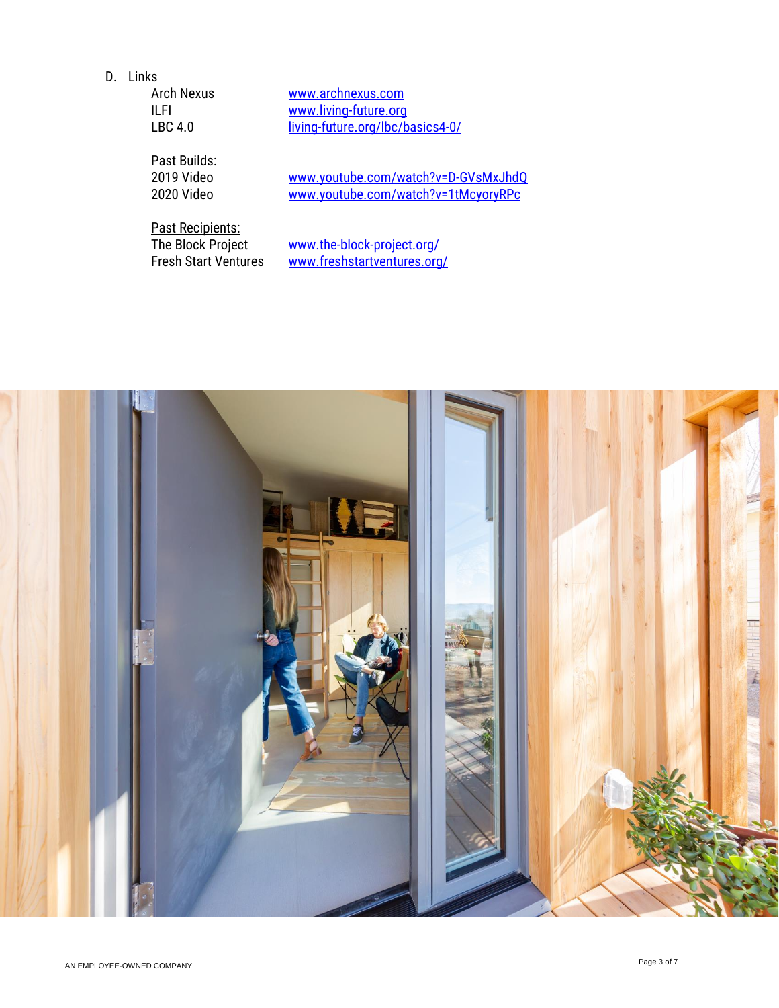D. Links

[www.archnexus.com](http://www.archnexus.com/) ILFI [www.living-future.org](http://www.living-future.org/) LBC 4.0 [living-future.org/lbc/basics4-0/](https://living-future.org/lbc/basics4-0/)

Past Builds:<br>2019 Video

2019 Video [www.youtube.com/watch?v=D-GVsMxJhdQ](http://www.youtube.com/watch?v=D-GVsMxJhdQ)<br>2020 Video www.youtube.com/watch?v=1tMcyoryRPc [www.youtube.com/watch?v=1tMcyoryRPc](http://www.youtube.com/watch?v=1tMcyoryRPc)

Past Recipients:<br>The Block Project

The Block Project [www.the-block-project.org/](http://www.the-block-project.org/)<br>Fresh Start Ventures www.freshstartventures.org [www.freshstartventures.org/](http://www.freshstartventures.org/)

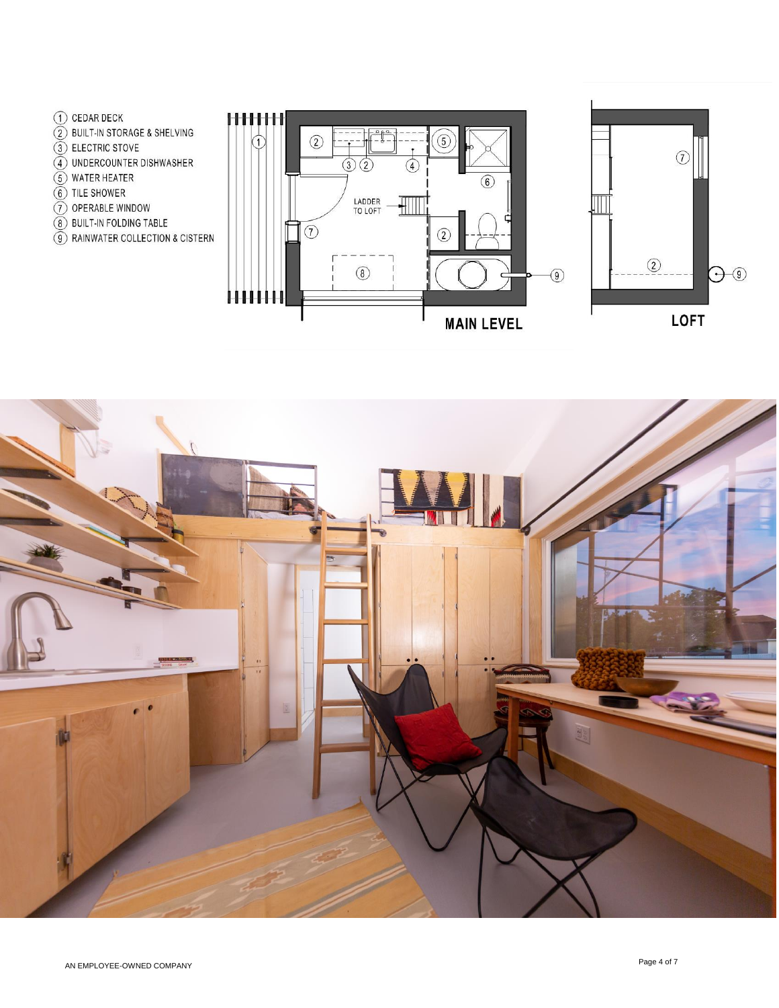- (1) CEDAR DECK
- 2 BUILT-IN STORAGE & SHELVING
- 3 ELECTRIC STOVE
- 4 UNDERCOUNTER DISHWASHER
- $\widetilde{(5)}$  WATER HEATER
- 6 TILE SHOWER
- (7) OPERABLE WINDOW
- 8 BUILT-IN FOLDING TABLE
- 9 RAINWATER COLLECTION & CISTERN





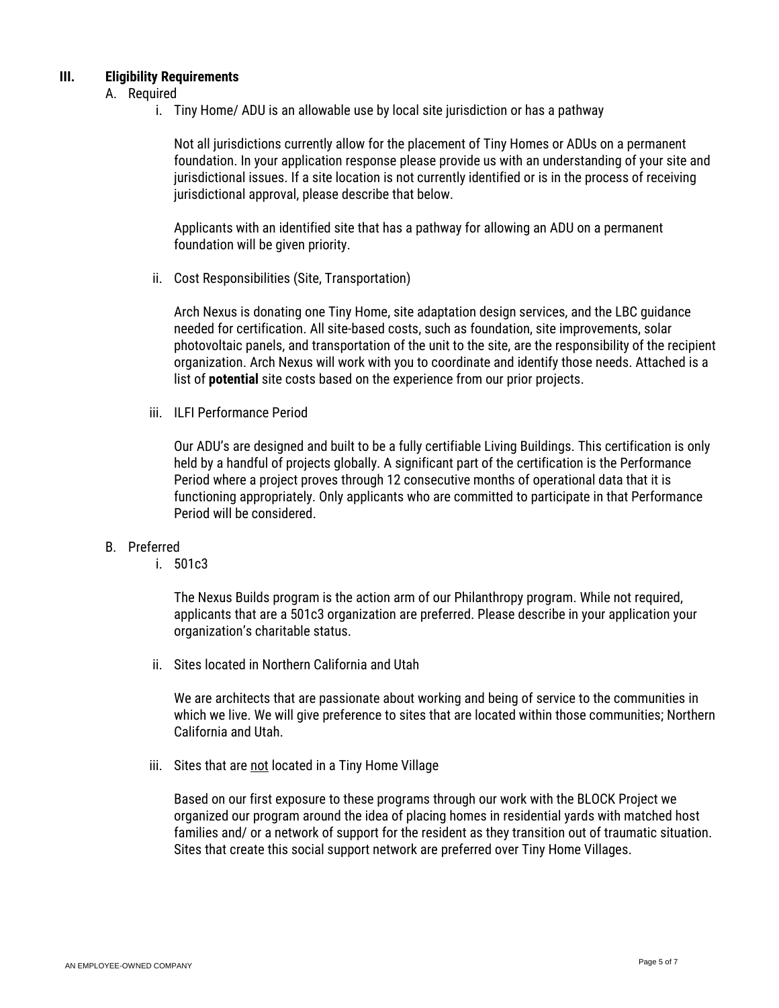#### **III. Eligibility Requirements**

#### A. Required

i. Tiny Home/ ADU is an allowable use by local site jurisdiction or has a pathway

Not all jurisdictions currently allow for the placement of Tiny Homes or ADUs on a permanent foundation. In your application response please provide us with an understanding of your site and jurisdictional issues. If a site location is not currently identified or is in the process of receiving jurisdictional approval, please describe that below.

Applicants with an identified site that has a pathway for allowing an ADU on a permanent foundation will be given priority.

ii. Cost Responsibilities (Site, Transportation)

Arch Nexus is donating one Tiny Home, site adaptation design services, and the LBC guidance needed for certification. All site-based costs, such as foundation, site improvements, solar photovoltaic panels, and transportation of the unit to the site, are the responsibility of the recipient organization. Arch Nexus will work with you to coordinate and identify those needs. Attached is a list of **potential** site costs based on the experience from our prior projects.

iii. ILFI Performance Period

Our ADU's are designed and built to be a fully certifiable Living Buildings. This certification is only held by a handful of projects globally. A significant part of the certification is the Performance Period where a project proves through 12 consecutive months of operational data that it is functioning appropriately. Only applicants who are committed to participate in that Performance Period will be considered.

#### B. Preferred

i. 501c3

The Nexus Builds program is the action arm of our Philanthropy program. While not required, applicants that are a 501c3 organization are preferred. Please describe in your application your organization's charitable status.

ii. Sites located in Northern California and Utah

We are architects that are passionate about working and being of service to the communities in which we live. We will give preference to sites that are located within those communities; Northern California and Utah.

iii. Sites that are not located in a Tiny Home Village

Based on our first exposure to these programs through our work with the BLOCK Project we organized our program around the idea of placing homes in residential yards with matched host families and/ or a network of support for the resident as they transition out of traumatic situation. Sites that create this social support network are preferred over Tiny Home Villages.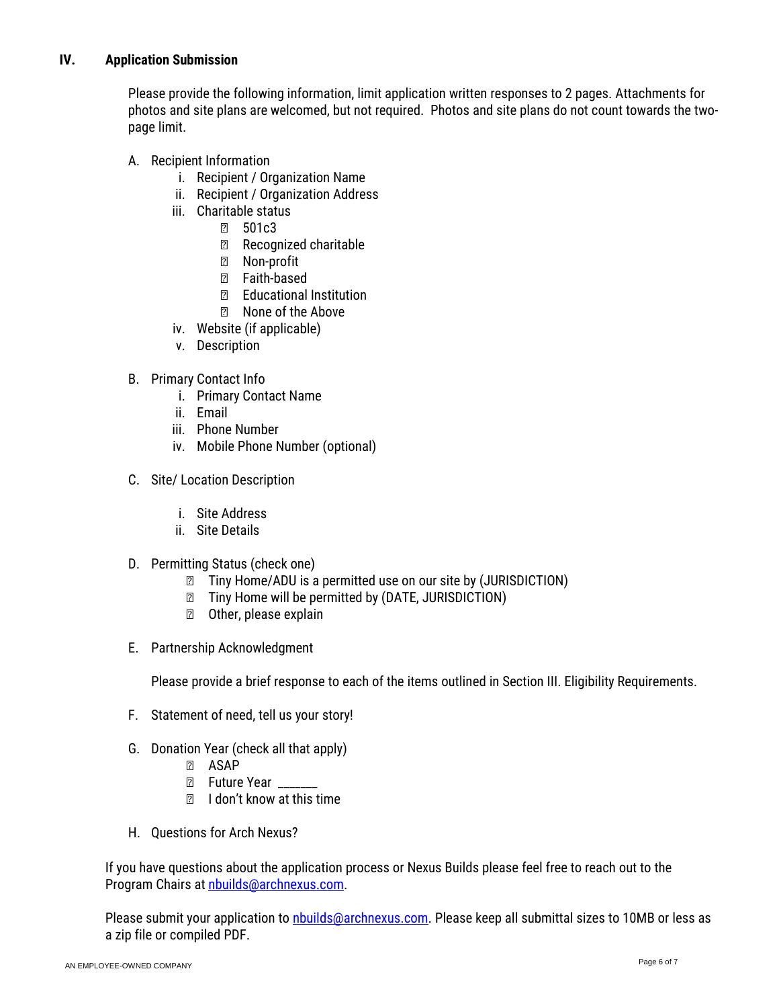### **IV. Application Submission**

Please provide the following information, limit application written responses to 2 pages. Attachments for photos and site plans are welcomed, but not required. Photos and site plans do not count towards the twopage limit.

- A. Recipient Information
	- i. Recipient / Organization Name
	- ii. Recipient / Organization Address
	- iii. Charitable status
		- 501c3
		- Recognized charitable
		- Non-profit
		- Faith-based
		- Educational Institution
		- None of the Above
	- iv. Website (if applicable)
	- v. Description
- B. Primary Contact Info
	- i. Primary Contact Name
	- ii. Email
	- iii. Phone Number
	- iv. Mobile Phone Number (optional)
- C. Site/ Location Description
	- i. Site Address
	- ii. Site Details
- D. Permitting Status (check one)
	- Tiny Home/ADU is a permitted use on our site by (JURISDICTION)
	- Tiny Home will be permitted by (DATE, JURISDICTION)
	- Other, please explain
- E. Partnership Acknowledgment

Please provide a brief response to each of the items outlined in Section III. Eligibility Requirements.

- F. Statement of need, tell us your story!
- G. Donation Year (check all that apply)
	- ASAP
	- Future Year
	- I don't know at this time
- H. Questions for Arch Nexus?

If you have questions about the application process or Nexus Builds please feel free to reach out to the Program Chairs at [nbuilds@archnexus.com.](mailto:nbuilds@archnexus.com)

Please submit your application to *nbuilds@archnexus.com*. Please keep all submittal sizes to 10MB or less as a zip file or compiled PDF.